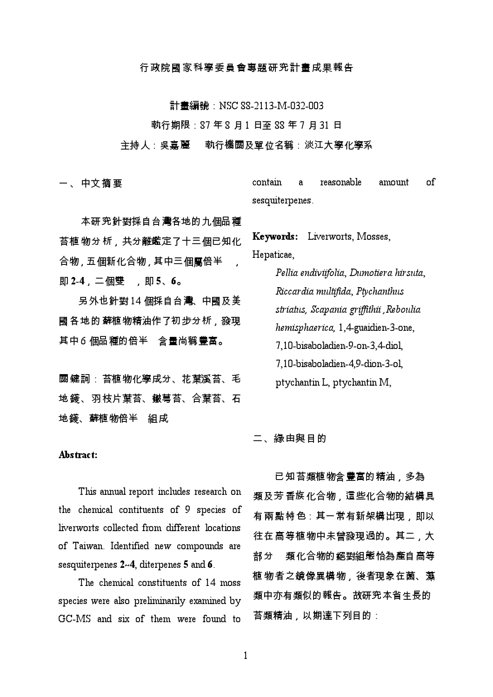# 行政院國家科學委員會專題研究計畫成果報告

計畫編號: NSC 88-2113-M-032-003

<u> 執行期限:87 年 8 月 1 日至 88 年 7 月 31</u> 日

#### 主持人:吳嘉麗, · 執行機關及單位名稱:淡江大學化學系

一、中文摘要

reasonable contain amount of  $\mathbf{a}$ sesquiterpenes.

本研究針對採自台灣各地的九個品種 苔植物分析,共分離鑑定了十三個已知化 合物,五個新化合物,其中三個屬倍半 即 2-4, 二個雙 , 即 5、6。

另外也針對14個採自台灣、中國及美 國 各地的 蘚植物精油作了初步分析,發現 其中6個品種的倍半 含量尚稱豐富。

**關鍵詞:苔植物化學成分、花葉溪苔、毛** 地錢、羽枝片葉苔、皺萼苔、合葉苔、石 地錢、蘚植物倍半 組成

Keywords: Liverworts, Mosses, Hepaticae,

> Pellia endiviifolia, Dumotiera hirsuta, Riccardia multifida, Ptychanthus striatus, Scapania griffithii , Reboulia hemisphaerica, 1,4-guaidien-3-one, 7,10-bisaboladien-9-on-3,4-diol, 7,10-bisaboladien-4,9-dion-3-ol, ptychantin L, ptychantin M,

二、綠由與目的

已知苔類植物含豐富的精油,多為 類及芳 香族 化合物,這些化合物的結構具 有兩點特色 : 其一常有新架構出現,即以 往在高等植物中未曾發現過的。其二,大 部分 類化合物的*絕*對組態恰為產自高等 植物者之鏡像異構物,後者現象在菌、藻 類中亦有類似的報告。故研究本省生長的 苔類精油,以期達下列目的:

## Abstract:

This annual report includes research on the chemical contituents of 9 species of liverworts collected from different locations of Taiwan. Identified new compounds are sesquiterpenes  $2-4$ , diterpenes 5 and 6.

The chemical constituents of 14 moss species were also preliminarily examined by GC-MS and six of them were found to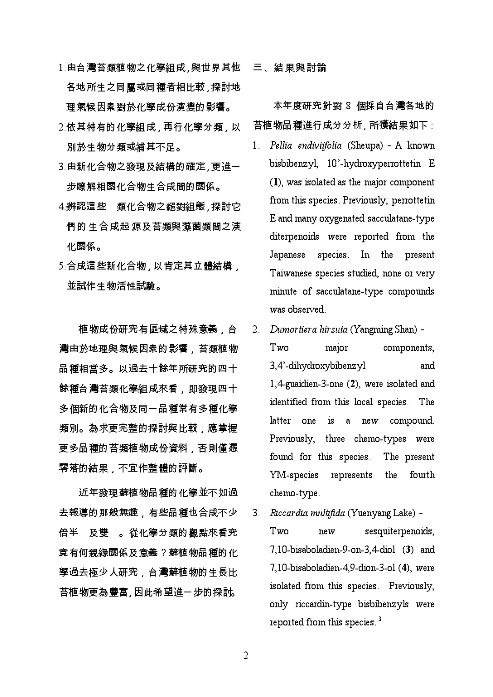- 1.由台灣苔類植物之化學組成,與世界其他 各地所生之同屬或同種者相比較 ' 探討地 理氣候因素對於化學成份演變的影響。
- 2.依其特有的化學組成 , 再行化學分類 , 以 別於生物分類或補其不足。
- 3.由新化合物之發現及結構的確定,更進一 步瞭解相關化合物生合成間的關係。
- 4.辨認這些 類化合物之絕對組態,探討它 **們的生合成起源及苔類與藻菌類間之演** 化關係。
- 5.合成這些新化合物 , 以肯定其立體結構 *,* 並試作生物活性試驗。

植物成份研究有區域之特殊意義,台 灣由於地理與氣候因素的影響,苔類植物 品種相當多。以過去十餘年所研究的四十 **餘種台灣苔類化學組成來看,即發現四十** 多個新的化合物及同一品種常有多種化學 類別。為求更完整的探討與比較,應掌握 更多品種的苔類植物成份資料,否則僅憑 零落的結果,不宜作整體的評斷。

近年發現蘚植物品種的化學並不如過 去報導的那般無趣,有些品種也合成不少 及雙 。從化學分類的觀點來看究 倍半 竟有何親緣關係及意義?蘚植物品種的化 學過去極少人研究,台灣蘚植物的生長比 苔植物更為豐富,因此希望進一步的探討。

三、結果與討論

本年度研究針對 8 個採自台灣各地的 <mark>苔植物品種進行成</mark>分分析, 所獲結果如下 :

- Pellia endiviifolia (Sheupa) A known  $1 \quad$ bisbibenzyl, 10'-hydroxyperrottetin E (1), was isolated as the major component from this species. Previously, perrottetin E and many oxygenated sacculatane-type diterpenoids were reported from the Japanese species. In the present Taiwanese species studied, none or very minute of sacculatane-type compounds was observed
- 2. Dumortiera hirsuta (Yangming Shan) components. Two major 3,4'-dihydroxybibenzyl and 1,4-guaidien-3-one (2), were isolated and identified from this local species. The latter one is a new compound. Previously, three chemo-types were found for this species. The present YM-species represents the fourth chemo-type.
- Riccardia multifida (Yuenyang Lake) - $3<sub>1</sub>$  $Tw$ o  $new$ sesquiterpenoids, 7,10-bisaboladien-9-on-3,4-diol (3) and 7,10-bisaboladien-4,9-dion-3-ol (4), were isolated from this species. Previously, only riccardin-type bisbibenzyls were reported from this species.<sup>3</sup>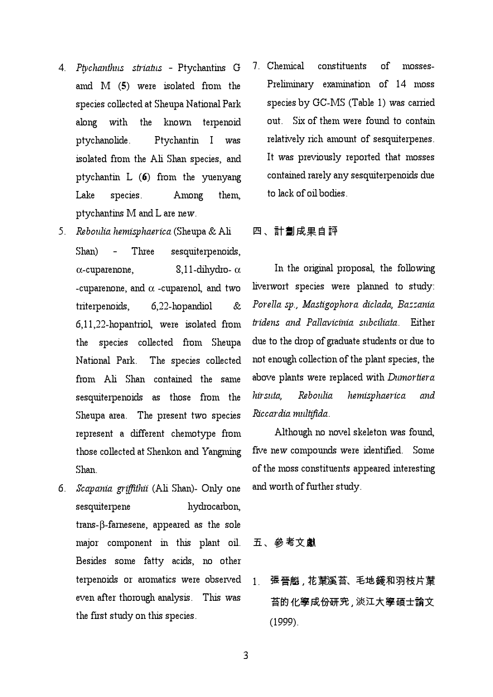- 4. Ptychanthus striatus Ptychantins G amd M (5) were isolated from the species collected at Sheupa National Park along with the known terpenoid ptychanolide. Ptychantin I was isolated from the Ali Shan species, and ptychantin L (6) from the yuenyang Lake species. Among them, ptychantins M and L are new.
- 5. Reboulia hemisphaerica (Sheupa & Ali Shan) Three sesquiterpenoids,  $\alpha$ -cuparenone, 8,11-dihydro-  $\alpha$ -cuparenone, and  $\alpha$  -cuparenol, and two triterpenoids, 6,22-hopandiol & 6,11,22-hopantriol, were isolated from the species collected from Sheupa National Park. The species collected from Ali Shan contained the same sesquiterpenoids as those from the Sheupa area. The present two species represent a different chemotype from those collected at Shenkon and Yangming Shan.
- 6. Scapania griffithii (Ali Shan)- Only one sesquiterpene hydrocarbon, trans-β-farnesene, appeared as the sole major component in this plant oil. Besides some fatty acids, no other terpenoids or aromatics were observed even after thorough analysis. This was the first study on this species.

7. Chemical constituents of mosses-Preliminary examination of 14 moss species by GC-MS (Table 1) was carried out. Six of them were found to contain relatively rich amount of sesquiterpenes. It was previously reported that mosses contained rarely any sesquiterpenoids due to lack of oil bodies.

# 四、計劃成果自評

In the original proposal, the following liverwort species were planned to study: Porella sp., Mastigophora diclada, Bazzania tridens and Pallavicinia subciliata. Either due to the drop of graduate students or due to not enough collection of the plant species, the above plants were replaced with Dumortiera hirsuta, Reboulia hemisphaerica and Riccardia multifida.

Although no novel skeleton was found, five new compounds were identified. Some of the moss constituents appeared interesting and worth of further study.

# 五、參考文獻

1. 張*晉*魁 , 花葉溪苔、毛地錢和羽枝片葉 苔的化學成份研究, 淡江大學碩士論文 (1999).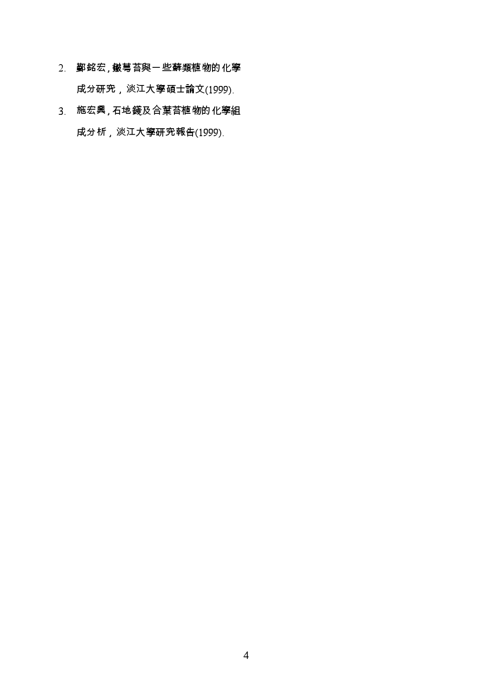- 2. 鄞銘宏, 皺萼苔與一些蘚類植物的化學 成分研究,淡江大學碩士論文(1999).
- 3. 施宏興,石地錢及合葉苔植物的化學組 成分析,淡江大學研究報告(1999).